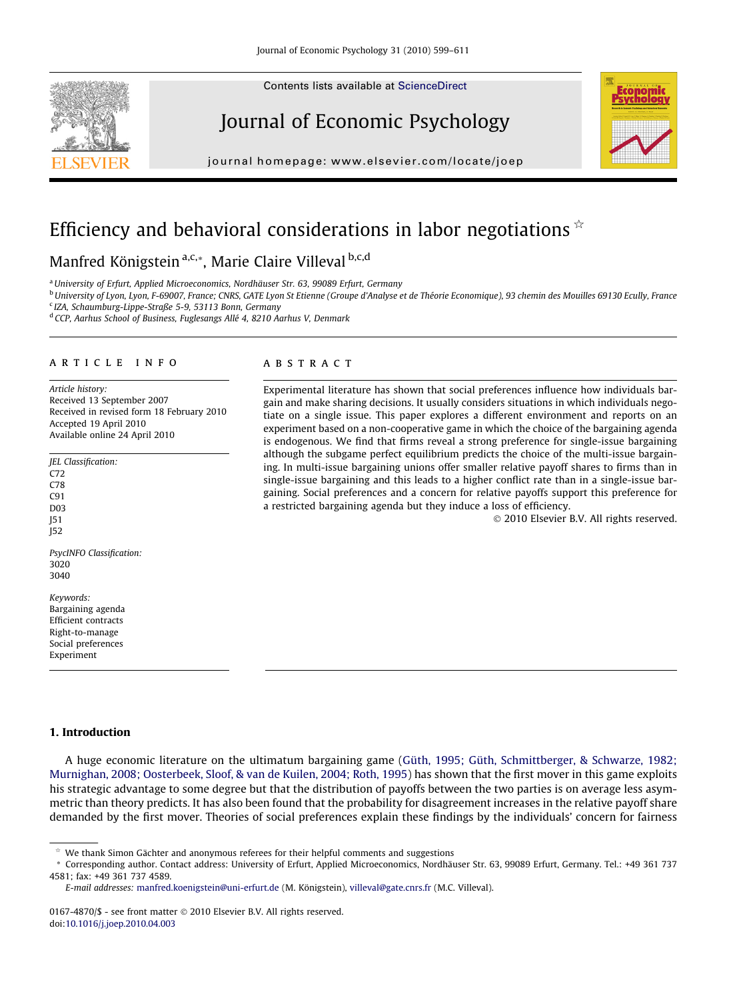Contents lists available at [ScienceDirect](http://www.sciencedirect.com/science/journal/01674870)







journal homepage: [www.elsevier.com/locate/joep](http://www.elsevier.com/locate/joep)

# Efficiency and behavioral considerations in labor negotiations  $\dot{\mathbf{x}}$

# Manfred Königstein<sup>a,c,\*</sup>, Marie Claire Villeval<sup>b,c,d</sup>

<sup>a</sup> University of Erfurt, Applied Microeconomics, Nordhäuser Str. 63, 99089 Erfurt, Germany

<sup>b</sup> University of Lyon, Lyon, F-69007, France; CNRS, GATE Lyon St Etienne (Groupe d'Analyse et de Théorie Economique), 93 chemin des Mouilles 69130 Ecully, France <sup>c</sup> IZA, Schaumburg-Lippe-Straße 5-9, 53113 Bonn, Germany

<sup>d</sup> CCP, Aarhus School of Business, Fuglesangs Allé 4, 8210 Aarhus V, Denmark

#### article info

Article history: Received 13 September 2007 Received in revised form 18 February 2010 Accepted 19 April 2010 Available online 24 April 2010

JEL Classification: C72 C78 C91 D03 J51 J52 PsycINFO Classification: 3020 3040 Keywords: Bargaining agenda Efficient contracts

Right-to-manage Social preferences Experiment

## ABSTRACT

Experimental literature has shown that social preferences influence how individuals bargain and make sharing decisions. It usually considers situations in which individuals negotiate on a single issue. This paper explores a different environment and reports on an experiment based on a non-cooperative game in which the choice of the bargaining agenda is endogenous. We find that firms reveal a strong preference for single-issue bargaining although the subgame perfect equilibrium predicts the choice of the multi-issue bargaining. In multi-issue bargaining unions offer smaller relative payoff shares to firms than in single-issue bargaining and this leads to a higher conflict rate than in a single-issue bargaining. Social preferences and a concern for relative payoffs support this preference for a restricted bargaining agenda but they induce a loss of efficiency.

- 2010 Elsevier B.V. All rights reserved.

# 1. Introduction

A huge economic literature on the ultimatum bargaining game [\(Güth, 1995; Güth, Schmittberger, & Schwarze, 1982;](#page--1-0) [Murnighan, 2008; Oosterbeek, Sloof, & van de Kuilen, 2004; Roth, 1995\)](#page--1-0) has shown that the first mover in this game exploits his strategic advantage to some degree but that the distribution of payoffs between the two parties is on average less asymmetric than theory predicts. It has also been found that the probability for disagreement increases in the relative payoff share demanded by the first mover. Theories of social preferences explain these findings by the individuals' concern for fairness

We thank Simon Gächter and anonymous referees for their helpful comments and suggestions

<sup>\*</sup> Corresponding author. Contact address: University of Erfurt, Applied Microeconomics, Nordhäuser Str. 63, 99089 Erfurt, Germany. Tel.: +49 361 737 4581; fax: +49 361 737 4589.

E-mail addresses: [manfred.koenigstein@uni-erfurt.de](mailto:manfred.koenigstein@uni-erfurt.de) (M. Königstein), [villeval@gate.cnrs.fr](mailto:villeval@gate.cnrs.fr) (M.C. Villeval).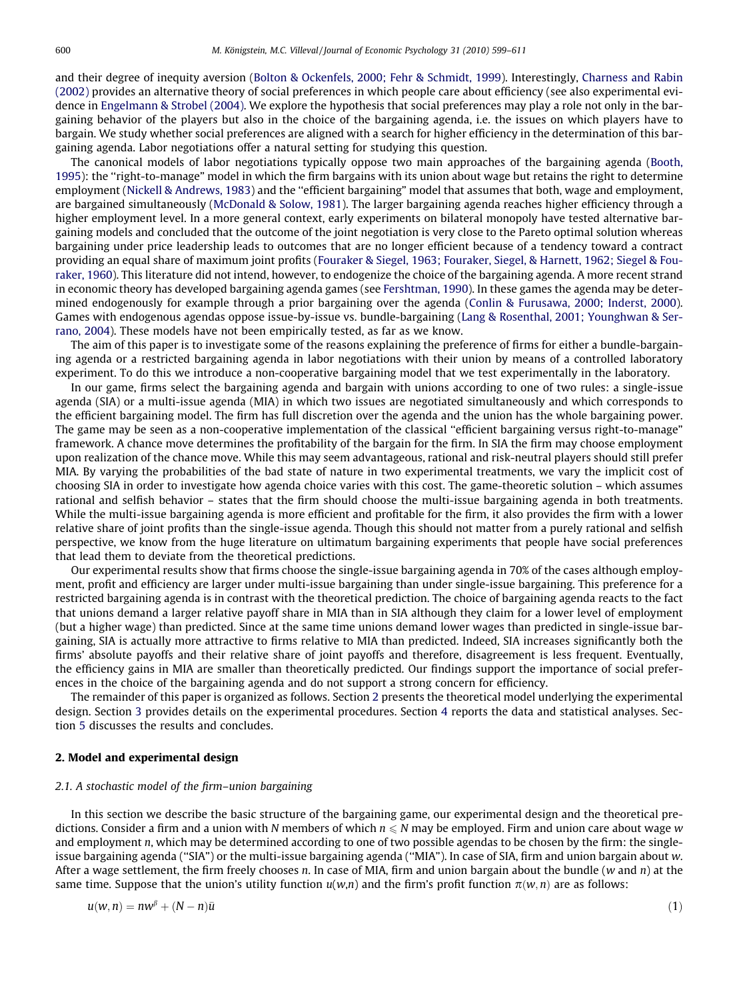and their degree of inequity aversion ([Bolton & Ockenfels, 2000; Fehr & Schmidt, 1999](#page--1-0)). Interestingly, [Charness and Rabin](#page--1-0) [\(2002\)](#page--1-0) provides an alternative theory of social preferences in which people care about efficiency (see also experimental evidence in [Engelmann & Strobel \(2004\)](#page--1-0). We explore the hypothesis that social preferences may play a role not only in the bargaining behavior of the players but also in the choice of the bargaining agenda, i.e. the issues on which players have to bargain. We study whether social preferences are aligned with a search for higher efficiency in the determination of this bargaining agenda. Labor negotiations offer a natural setting for studying this question.

The canonical models of labor negotiations typically oppose two main approaches of the bargaining agenda [\(Booth,](#page--1-0) [1995](#page--1-0)): the ''right-to-manage" model in which the firm bargains with its union about wage but retains the right to determine employment [\(Nickell & Andrews, 1983](#page--1-0)) and the ''efficient bargaining" model that assumes that both, wage and employment, are bargained simultaneously ([McDonald & Solow, 1981](#page--1-0)). The larger bargaining agenda reaches higher efficiency through a higher employment level. In a more general context, early experiments on bilateral monopoly have tested alternative bargaining models and concluded that the outcome of the joint negotiation is very close to the Pareto optimal solution whereas bargaining under price leadership leads to outcomes that are no longer efficient because of a tendency toward a contract providing an equal share of maximum joint profits [\(Fouraker & Siegel, 1963; Fouraker, Siegel, & Harnett, 1962; Siegel & Fou](#page--1-0)[raker, 1960\)](#page--1-0). This literature did not intend, however, to endogenize the choice of the bargaining agenda. A more recent strand in economic theory has developed bargaining agenda games (see [Fershtman, 1990\)](#page--1-0). In these games the agenda may be determined endogenously for example through a prior bargaining over the agenda ([Conlin & Furusawa, 2000; Inderst, 2000](#page--1-0)). Games with endogenous agendas oppose issue-by-issue vs. bundle-bargaining ([Lang & Rosenthal, 2001; Younghwan & Ser](#page--1-0)[rano, 2004\)](#page--1-0). These models have not been empirically tested, as far as we know.

The aim of this paper is to investigate some of the reasons explaining the preference of firms for either a bundle-bargaining agenda or a restricted bargaining agenda in labor negotiations with their union by means of a controlled laboratory experiment. To do this we introduce a non-cooperative bargaining model that we test experimentally in the laboratory.

In our game, firms select the bargaining agenda and bargain with unions according to one of two rules: a single-issue agenda (SIA) or a multi-issue agenda (MIA) in which two issues are negotiated simultaneously and which corresponds to the efficient bargaining model. The firm has full discretion over the agenda and the union has the whole bargaining power. The game may be seen as a non-cooperative implementation of the classical ''efficient bargaining versus right-to-manage" framework. A chance move determines the profitability of the bargain for the firm. In SIA the firm may choose employment upon realization of the chance move. While this may seem advantageous, rational and risk-neutral players should still prefer MIA. By varying the probabilities of the bad state of nature in two experimental treatments, we vary the implicit cost of choosing SIA in order to investigate how agenda choice varies with this cost. The game-theoretic solution – which assumes rational and selfish behavior – states that the firm should choose the multi-issue bargaining agenda in both treatments. While the multi-issue bargaining agenda is more efficient and profitable for the firm, it also provides the firm with a lower relative share of joint profits than the single-issue agenda. Though this should not matter from a purely rational and selfish perspective, we know from the huge literature on ultimatum bargaining experiments that people have social preferences that lead them to deviate from the theoretical predictions.

Our experimental results show that firms choose the single-issue bargaining agenda in 70% of the cases although employment, profit and efficiency are larger under multi-issue bargaining than under single-issue bargaining. This preference for a restricted bargaining agenda is in contrast with the theoretical prediction. The choice of bargaining agenda reacts to the fact that unions demand a larger relative payoff share in MIA than in SIA although they claim for a lower level of employment (but a higher wage) than predicted. Since at the same time unions demand lower wages than predicted in single-issue bargaining, SIA is actually more attractive to firms relative to MIA than predicted. Indeed, SIA increases significantly both the firms' absolute payoffs and their relative share of joint payoffs and therefore, disagreement is less frequent. Eventually, the efficiency gains in MIA are smaller than theoretically predicted. Our findings support the importance of social preferences in the choice of the bargaining agenda and do not support a strong concern for efficiency.

The remainder of this paper is organized as follows. Section 2 presents the theoretical model underlying the experimental design. Section 3 provides details on the experimental procedures. Section 4 reports the data and statistical analyses. Section 5 discusses the results and concludes.

### 2. Model and experimental design

### 2.1. A stochastic model of the firm–union bargaining

In this section we describe the basic structure of the bargaining game, our experimental design and the theoretical predictions. Consider a firm and a union with N members of which  $n \le N$  may be employed. Firm and union care about wage w and employment *n*, which may be determined according to one of two possible agendas to be chosen by the firm: the singleissue bargaining agenda (''SIA") or the multi-issue bargaining agenda (''MIA"). In case of SIA, firm and union bargain about w. After a wage settlement, the firm freely chooses n. In case of MIA, firm and union bargain about the bundle (w and n) at the same time. Suppose that the union's utility function  $u(w,n)$  and the firm's profit function  $\pi(w,n)$  are as follows:

$$
u(w, n) = nw^{\beta} + (N - n)\bar{u}
$$

 $\bar{u}$  (1)